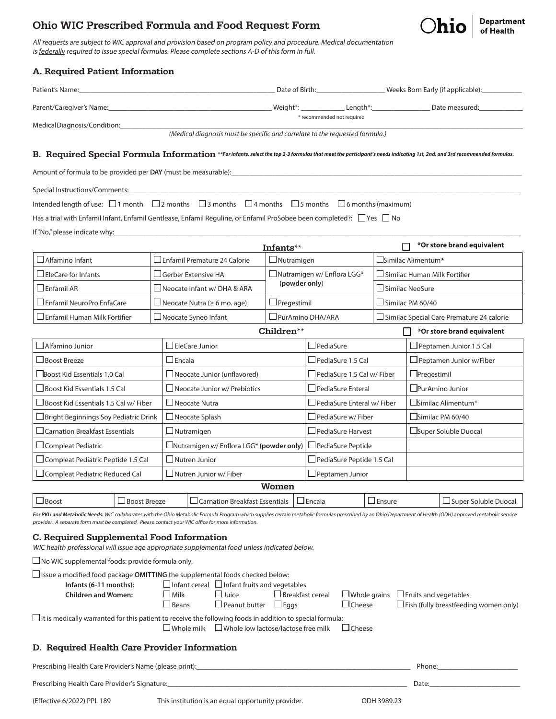# Ohio WIC Prescribed Formula and Food Request Form



All requests are subject to WIC approval and provision based on program policy and procedure. Medical documentation is federally required to issue special formulas. Please complete sections A-D of this form in full.

#### A. Required Patient Information Patient's Name:\_\_\_\_\_\_\_\_\_\_\_\_\_\_\_\_\_\_\_\_\_\_\_\_\_\_\_\_\_\_\_\_\_\_\_\_\_\_\_\_\_\_\_\_\_\_\_\_\_\_\_\_\_\_ Date of Birth:\_\_\_\_\_\_\_\_\_\_\_\_\_\_\_\_\_\_\_ Weeks Born Early (if applicable):\_\_\_\_\_\_\_\_\_\_\_ Parent/Caregiver's Name:\_\_\_\_\_\_\_\_\_\_\_\_\_\_\_\_\_\_\_\_\_\_\_\_\_\_\_\_\_\_\_\_\_\_\_\_\_\_\_\_\_\_\_\_\_ Weight\*: \_\_\_\_\_\_\_\_\_\_\_\_ Length\*:\_\_\_\_\_\_\_\_\_\_\_\_\_\_\_\_ Date measured:\_\_\_\_\_\_\_\_\_\_\_\_ \* recommended not required Medical Diagnosis/Condition: *(Medical diagnosis must be specific and correlate to the requested formula.)* B. Required Special Formula Information **\*\*For infants, select the top 2-3 formulas that meet the participant's needs indicating 1st, 2nd, and 3rd recommended formulas.** Amount of formula to be provided per **DAY** (must be measurable): Special Instructions/Comments: Intended length of use:  $\Box$  1 month  $\Box$  2 months  $\Box$  3 months  $\Box$  4 months  $\Box$  5 months  $\Box$  6 months (maximum) Has a trial with Enfamil Infant, Enfamil Gentlease, Enfamil Reguline, or Enfamil ProSobee been completed?:  $\Box$  Yes  $\Box$  No If "No," please indicate why: **\*Or store brand equivalent** Infants\*\* Alfamino Infant Enfamil Premature 24 Calorie Nutramigen Similac Alimentum**\***  $\Box$  EleCare for Infants  $\Box$  Gerber Extensive HA  $\Box$  Nutramigen w/ Enflora LGG\*  $\square$  Similac Human Milk Fortifier **(powder only**)  $\square$  Enfamil AR  $\square$  Neocate Infant w/ DHA & ARA  $\square$  Similac NeoSure  $\Box$  Enfamil NeuroPro EnfaCare  $\qquad \vert \Box$  Neocate Nutra (≥ 6 mo. age)  $\qquad \vert \Box$  Pregestimil  $\qquad \qquad \vert \Box$  Similac PM 60/40 Enfamil Human Milk Fortifier Neocate Syneo Infant PurAmino DHA/ARA Similac Special Care Premature 24 calorie Children\*\* **\*Or store brand equivalent** П.  $\Box$  Alfamino Junior  $\Box$  EleCare Junior PediaSure PediaSure PediaSure Peptamen Junior 1.5 Cal  $\Box$ Boost Breeze  $\Box$ Encala  $\Box$ Encala  $\Box$ PediaSure 1.5 Cal  $\Box$ Peptamen Junior w/Fiber Boost Kid Essentials 1.0 Cal Neocate Junior (unflavored) PediaSure 1.5 Cal w/ Fiber Pregestimil Boost Kid Essentials 1.5 Cal Neocate Junior w/ Prebiotics PediaSure Enteral PurAmino Junior

For PKU and Metabolic Needs: WIC collaborates with the Ohio Metabolic Formula Program which supplies certain metabolic formulas prescribed by an Ohio Department of Health (ODH) approved metabolic service provider. A separate form must be completed. Please contact your WIC office for more information.

Women  $\Box$ Boost Boost Breeze  $\Box$  Carnation Breakfast Essentials  $\Box$  Encala  $\Box$  Ensure  $\Box$  Super Soluble Duocal

 $\Box$  Boost Kid Essentials 1.5 Cal w/ Fiber  $\Box$  Neocate Nutra PediaSure Enteral w/ Fiber  $\Box$  Similac Alimentum\*  $\Box$ Bright Beginnings Soy Pediatric Drink  $|\Box$ Neocate Splash  $|\Box$ PediaSure w/ Fiber  $|\Box$ Similac PM 60/40  $\Box$  Carnation Breakfast Essentials  $\Box$  Nutramigen  $\Box$  PediaSure Harvest  $\Box$  Super Soluble Duocal

#### C. Required Supplemental Food Information

WIC health professional will issue age appropriate supplemental food unless indicated below.

 $\square$  No WIC supplemental foods: provide formula only.

| $\Box$ Issue a modified food package <b>OMITTING</b> the supplemental foods checked below: |                            |                |                                                          |                         |               |                                                  |
|--------------------------------------------------------------------------------------------|----------------------------|----------------|----------------------------------------------------------|-------------------------|---------------|--------------------------------------------------|
|                                                                                            | Infants (6-11 months):     |                | $\Box$ Infant cereal $\Box$ Infant fruits and vegetables |                         |               |                                                  |
|                                                                                            | <b>Children and Women:</b> | $\perp$ Milk   | ⊥Juice                                                   | $\Box$ Breakfast cereal |               | $\Box$ Whole grains $\Box$ Fruits and vegetables |
|                                                                                            |                            | $\sqcup$ Beans | $\Box$ Peanut butter                                     | $\Box$ Eags             | $\Box$ Cheese | $\Box$ Fish (fully breastfeeding women only)     |
|                                                                                            |                            |                |                                                          |                         |               |                                                  |

 $\Box$  It is medically warranted for this patient to receive the following foods in addition to special formula:  $\square$  Whole milk  $\square$  Whole low lactose/lactose free milk  $\square$  Cheese

Compleat Pediatric Nutramigen w/ Enflora LGG\* **(powder only)** PediaSure Peptide

 $\Box$  Compleat Pediatric Reduced Cal  $\Box$  Nutren Junior w/ Fiber  $\Box$  Peptamen Junior

 $\Box$  Compleat Pediatric Peptide 1.5 Cal  $\Box$  Nutren Junior  $\Box$  PediaSure Peptide 1.5 Cal

#### D. Required Health Care Provider Information

Prescribing Health Care Provider's Name (please print):\_\_\_\_\_\_\_\_\_\_\_\_\_\_\_\_\_\_\_\_\_\_\_\_\_\_\_\_\_\_\_\_\_\_\_\_\_\_\_\_\_\_\_\_\_\_\_\_\_\_\_\_\_\_\_\_\_\_\_ Phone:\_\_\_\_\_\_\_\_\_\_\_\_\_\_\_\_\_\_\_\_\_\_ Prescribing Health Care Provider's Signature:\_\_\_\_\_\_\_\_\_\_\_\_\_\_\_\_\_\_\_\_\_\_\_\_\_\_\_\_\_\_\_\_\_\_\_\_\_\_\_\_\_\_\_\_\_\_\_\_\_\_\_\_\_\_\_\_\_\_\_\_\_\_\_\_\_\_ Date:\_\_\_\_\_\_\_\_\_\_\_\_\_\_\_\_\_\_\_\_\_\_\_\_\_